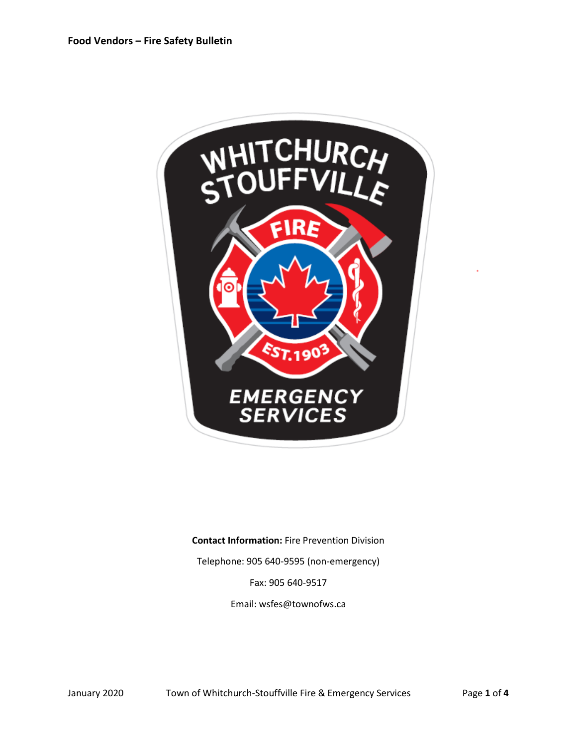

**Contact Information:** Fire Prevention Division

Telephone: 905 640-9595 (non-emergency)

Fax: 905 640-9517

Email: wsfes@townofws.ca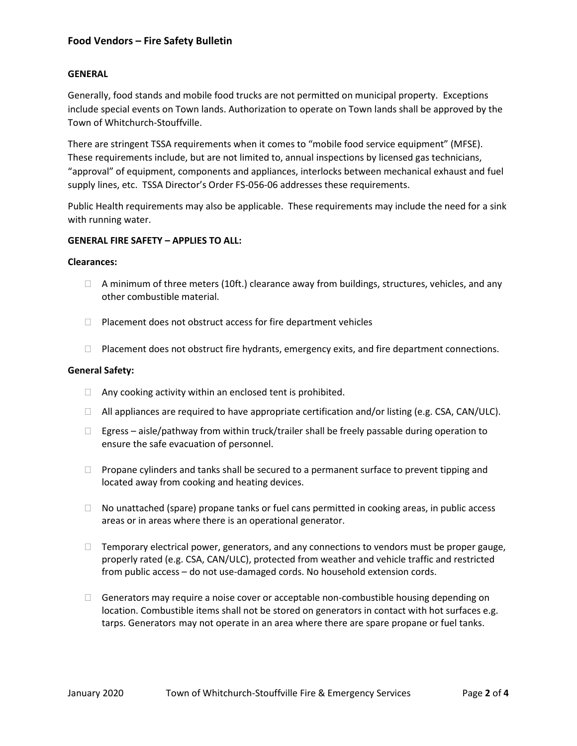# **Food Vendors – Fire Safety Bulletin**

#### **GENERAL**

Generally, food stands and mobile food trucks are not permitted on municipal property. Exceptions include special events on Town lands. Authorization to operate on Town lands shall be approved by the Town of Whitchurch-Stouffville.

There are stringent TSSA requirements when it comes to "mobile food service equipment" (MFSE). These requirements include, but are not limited to, annual inspections by licensed gas technicians, "approval" of equipment, components and appliances, interlocks between mechanical exhaust and fuel supply lines, etc. TSSA Director's Order FS-056-06 addresses these requirements.

Public Health requirements may also be applicable. These requirements may include the need for a sink with running water.

#### **GENERAL FIRE SAFETY – APPLIES TO ALL:**

#### **Clearances:**

- $\Box$  A minimum of three meters (10ft.) clearance away from buildings, structures, vehicles, and any other combustible material.
- $\Box$  Placement does not obstruct access for fire department vehicles
- $\Box$  Placement does not obstruct fire hydrants, emergency exits, and fire department connections.

#### **General Safety:**

- $\Box$  Any cooking activity within an enclosed tent is prohibited.
- $\Box$  All appliances are required to have appropriate certification and/or listing (e.g. CSA, CAN/ULC).
- $\Box$  Egress aisle/pathway from within truck/trailer shall be freely passable during operation to ensure the safe evacuation of personnel.
- $\Box$  Propane cylinders and tanks shall be secured to a permanent surface to prevent tipping and located away from cooking and heating devices.
- $\Box$  No unattached (spare) propane tanks or fuel cans permitted in cooking areas, in public access areas or in areas where there is an operational generator.
- $\Box$  Temporary electrical power, generators, and any connections to vendors must be proper gauge, properly rated (e.g. CSA, CAN/ULC), protected from weather and vehicle traffic and restricted from public access – do not use-damaged cords. No household extension cords.
- Generators may require a noise cover or acceptable non-combustible housing depending on location. Combustible items shall not be stored on generators in contact with hot surfaces e.g. tarps. Generators may not operate in an area where there are spare propane or fuel tanks.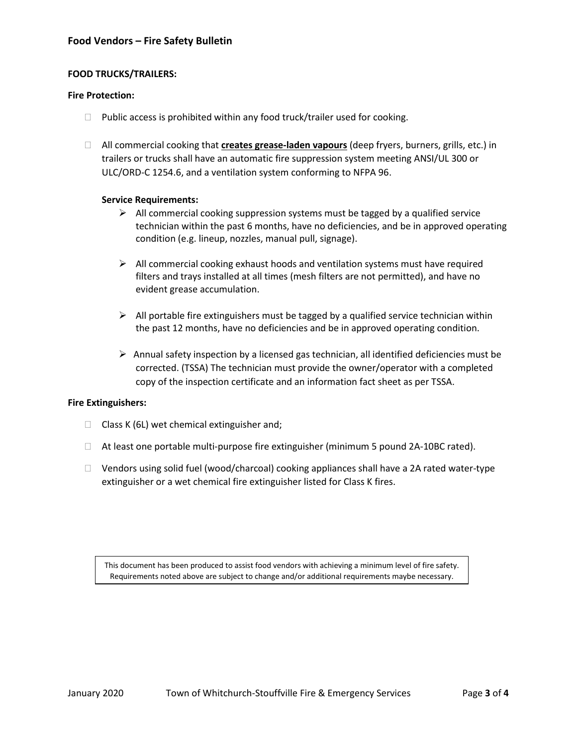# **Food Vendors – Fire Safety Bulletin**

## **FOOD TRUCKS/TRAILERS:**

## **Fire Protection:**

- $\Box$  Public access is prohibited within any food truck/trailer used for cooking.
- All commercial cooking that **creates grease-laden vapours** (deep fryers, burners, grills, etc.) in trailers or trucks shall have an automatic fire suppression system meeting ANSI/UL 300 or ULC/ORD-C 1254.6, and a ventilation system conforming to NFPA 96.

## **Service Requirements:**

- $\triangleright$  All commercial cooking suppression systems must be tagged by a qualified service technician within the past 6 months, have no deficiencies, and be in approved operating condition (e.g. lineup, nozzles, manual pull, signage).
- $\triangleright$  All commercial cooking exhaust hoods and ventilation systems must have required filters and trays installed at all times (mesh filters are not permitted), and have no evident grease accumulation.
- $\triangleright$  All portable fire extinguishers must be tagged by a qualified service technician within the past 12 months, have no deficiencies and be in approved operating condition.
- $\triangleright$  Annual safety inspection by a licensed gas technician, all identified deficiencies must be corrected. (TSSA) The technician must provide the owner/operator with a completed copy of the inspection certificate and an information fact sheet as per TSSA.

### **Fire Extinguishers:**

- $\Box$  Class K (6L) wet chemical extinguisher and;
- $\Box$  At least one portable multi-purpose fire extinguisher (minimum 5 pound 2A-10BC rated).
- $\Box$  Vendors using solid fuel (wood/charcoal) cooking appliances shall have a 2A rated water-type extinguisher or a wet chemical fire extinguisher listed for Class K fires.

This document has been produced to assist food vendors with achieving a minimum level of fire safety. Requirements noted above are subject to change and/or additional requirements maybe necessary.